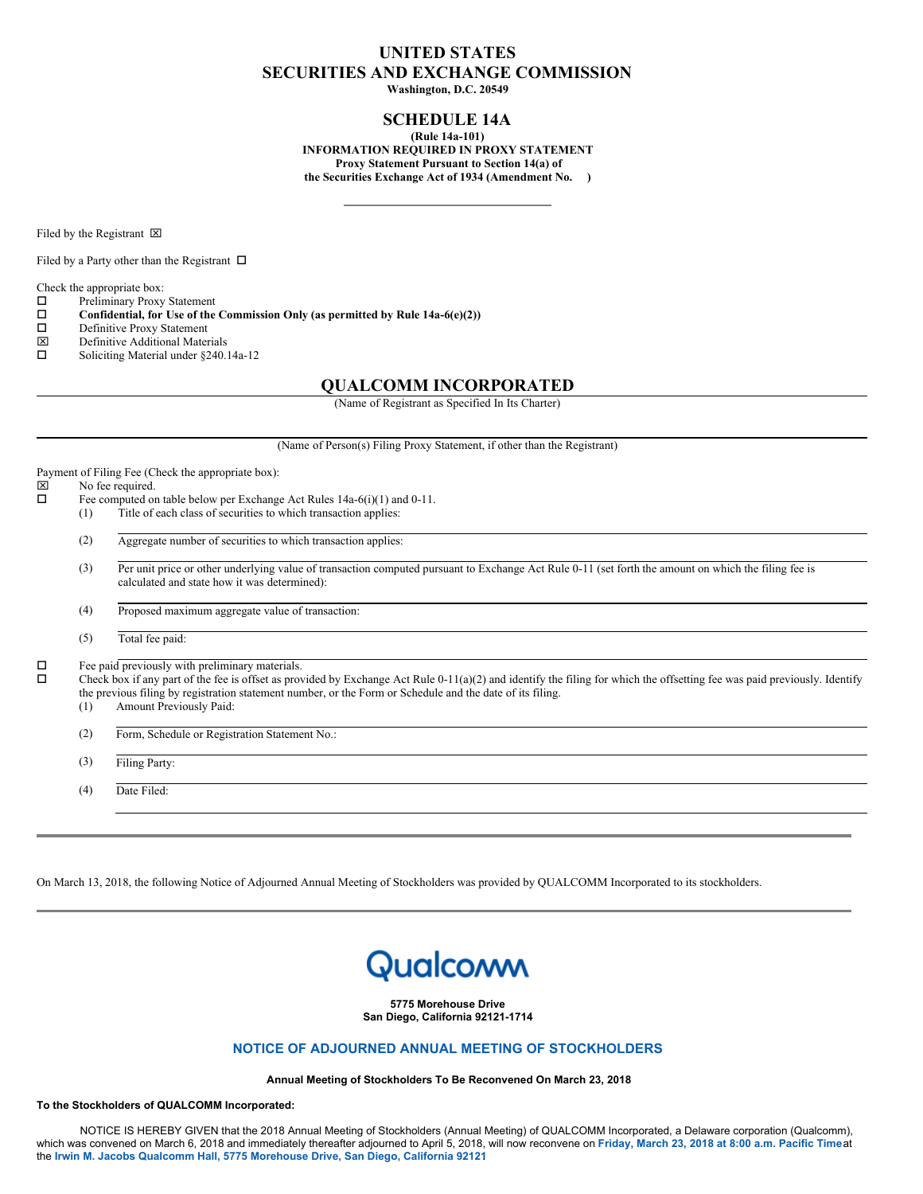# **UNITED STATES SECURITIES AND EXCHANGE COMMISSION**

**Washington, D.C. 20549**

## **SCHEDULE 14A**

**(Rule 14a-101) INFORMATION REQUIRED IN PROXY STATEMENT Proxy Statement Pursuant to Section 14(a) of the Securities Exchange Act of 1934 (Amendment No. )**

Filed by the Registrant  $\boxtimes$ 

Filed by a Party other than the Registrant  $\Box$ 

Check the appropriate box:

 $\square$  Preliminary Proxy Statement<br> $\square$  Confidential, for Use of the

**Confidential, for** Use of the Commission Only (as permitted by Rule 14a-6(e)(2)) Definitive Proxy Statement

- □ Definitive Proxy Statement<br> **図** Definitive Additional Mater
- $\boxtimes$  Definitive Additional Materials<br> $\square$  Soliciting Material under \$240.
- Soliciting Material under §240.14a-12

## **QUALCOMM INCORPORATED**

(Name of Registrant as Specified In Its Charter)

(Name of Person(s) Filing Proxy Statement, if other than the Registrant)

| ×           | Payment of Filing Fee (Check the appropriate box):<br>No fee required. |                                                                                                                                                                                                                                                                                                                                                                        |  |
|-------------|------------------------------------------------------------------------|------------------------------------------------------------------------------------------------------------------------------------------------------------------------------------------------------------------------------------------------------------------------------------------------------------------------------------------------------------------------|--|
| □<br>□<br>о |                                                                        | Fee computed on table below per Exchange Act Rules $14a-6(i)(1)$ and $0-11$ .                                                                                                                                                                                                                                                                                          |  |
|             | (1)                                                                    | Title of each class of securities to which transaction applies:                                                                                                                                                                                                                                                                                                        |  |
|             | (2)                                                                    | Aggregate number of securities to which transaction applies:                                                                                                                                                                                                                                                                                                           |  |
|             | (3)                                                                    | Per unit price or other underlying value of transaction computed pursuant to Exchange Act Rule 0-11 (set forth the amount on which the filing fee is<br>calculated and state how it was determined):                                                                                                                                                                   |  |
|             | (4)                                                                    | Proposed maximum aggregate value of transaction:                                                                                                                                                                                                                                                                                                                       |  |
|             | (5)                                                                    | Total fee paid:                                                                                                                                                                                                                                                                                                                                                        |  |
|             | (1)                                                                    | Fee paid previously with preliminary materials.<br>Check box if any part of the fee is offset as provided by Exchange Act Rule $0-11(a)(2)$ and identify the filing for which the offsetting fee was paid previously. Identify<br>the previous filing by registration statement number, or the Form or Schedule and the date of its filing.<br>Amount Previously Paid: |  |
|             | (2)                                                                    | Form, Schedule or Registration Statement No.:                                                                                                                                                                                                                                                                                                                          |  |
|             | (3)                                                                    | <b>Filing Party:</b>                                                                                                                                                                                                                                                                                                                                                   |  |
|             | (4)                                                                    | Date Filed:                                                                                                                                                                                                                                                                                                                                                            |  |
|             |                                                                        |                                                                                                                                                                                                                                                                                                                                                                        |  |

On March 13, 2018, the following Notice of Adjourned Annual Meeting of Stockholders was provided by QUALCOMM Incorporated to its stockholders.

# Qualcoww

**5775 Morehouse Drive San Diego, California 92121-1714**

## **NOTICE OF ADJOURNED ANNUAL MEETING OF STOCKHOLDERS**

#### **Annual Meeting of Stockholders To Be Reconvened On March 23, 2018**

**To the Stockholders of QUALCOMM Incorporated:**

NOTICE IS HEREBY GIVEN that the 2018 Annual Meeting of Stockholders (Annual Meeting) of QUALCOMM Incorporated, a Delaware corporation (Qualcomm), which was convened on March 6, 2018 and immediately thereafter adjourned to April 5, 2018, will now reconvene on Friday, March 23, 2018 at 8:00 a.m. Pacific Time at the **Irwin M. Jacobs Qualcomm Hall, 5775 Morehouse Drive, San Diego, California 92121**.